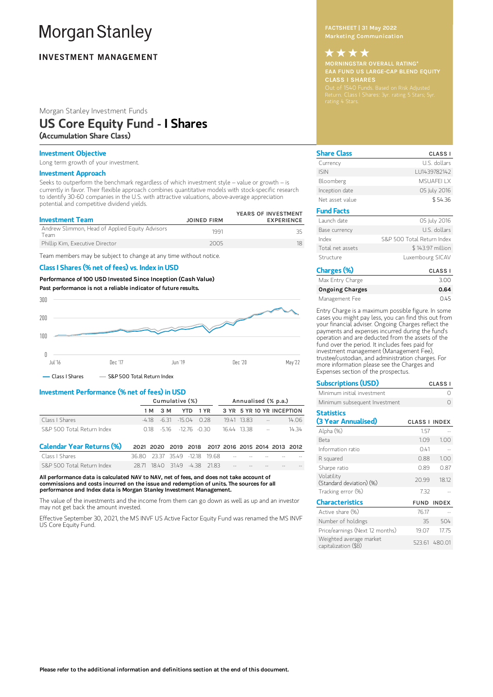# **Morgan Stanley**

## **INVESTMENT MANAGEMENT**

Morgan Stanley Investment Funds

## US Core Equity Fund - I Shares

(Accumulation Share Class)

## Investment Objective

Long term growth of your investment.

### Investment Approach

Seeks to outperform the benchmark regardless of which investment style – value or growth – is currently in favor. Their flexible approach combines quantitative models with stock-specific research to identify 30-60 companies in the U.S. with attractive valuations, above-average appreciation potential and competitive dividend yields.

| <b>Investment Team</b>                                   | <b>JOINED FIRM</b> | YEARS OF INVESTMENT<br><b>EXPERIENCE</b> |
|----------------------------------------------------------|--------------------|------------------------------------------|
| Andrew Slimmon, Head of Applied Equity Advisors<br>Feam. | 1991               |                                          |
| Phillip Kim, Executive Director                          | 2005               | 18                                       |

Team members may be subject to change at any time without notice.

## Class I Shares (% net of fees) vs. Index in USD

Performance of100 USD Invested Since Inception (Cash Value) Past performance is not a reliable indicator of future results.



### Investment Performance (% net of fees) in USD

|                            | Cumulative (%) |  |                                 |  | Annualised (% p.a.) |           |                 |                           |
|----------------------------|----------------|--|---------------------------------|--|---------------------|-----------|-----------------|---------------------------|
|                            |                |  | 1 M 3 M YTD 1 YR                |  |                     |           |                 | 3 YR 5 YR 10 YR INCEPTION |
| Class I Shares             |                |  | $-4.18$ $-6.31$ $-15.04$ 0.28   |  |                     | 1941 1383 | <b>Contract</b> | 14.06                     |
| S&P 500 Total Return Index |                |  | $0.18$ $-5.16$ $-12.76$ $-0.30$ |  | 16.44 13.38         |           | $\sim$ $-$      | 14 34                     |

| Calendar Year Returns (%) 2021 2020 2019 2018 2017 2016 2015 2014 2013 2012 |                                              |                               |  |  |                                                     |     |
|-----------------------------------------------------------------------------|----------------------------------------------|-------------------------------|--|--|-----------------------------------------------------|-----|
| Class I Shares                                                              | 36.80 23.37 35.49 -12.18 19.68 - - - - - - - |                               |  |  |                                                     | $-$ |
| S&P 500 Total Return Index                                                  |                                              | 28.71 18.40 31.49 -4.38 21.83 |  |  | the contract of the contract of the contract of the | $-$ |

All performance data is calculated NAV to NAV, net of fees, and does not take account of commissions and costs incurred on the issue and redemption of units. The sources for all performance and Index data is Morgan Stanley Investment Management.

The value of the investments and the income from them can go down as well as up and an investor may not get back the amount invested.

Effective September 30, 2021, the MS INVF US Active Factor Equity Fund was renamed the MS INVF US Core Equity Fund.

Marketing Communication

## MORNINGSTAR OVERALL RATING\* CLASS I SHARES \*\*\*\*

| <b>Share Class</b> | <b>CLASS I</b>             |
|--------------------|----------------------------|
| Currency           | U.S. dollars               |
| <b>ISIN</b>        | LU1439782142               |
| Bloomberg          | MSUAFFI I X                |
| Inception date     | 05 July 2016               |
| Net asset value    | \$54.36                    |
| <b>Fund Facts</b>  |                            |
| Launch date        | 05 July 2016               |
| Base currency      | U.S. dollars               |
| Index              | S&P 500 Total Return Index |
| Total net assets   | \$143.97 million           |
| Structure          | Luxembourg SICAV           |
| $\sim$             |                            |

| Charges (%)            | <b>CLASS I</b> |
|------------------------|----------------|
| Max Entry Charge       | 3.00           |
| <b>Ongoing Charges</b> | 0.64           |
| Management Fee         | O 45           |

Entry Charge is a maximum possible figure. In some cases you might pay less, you can find this out from your financial adviser. Ongoing Charges reflect the payments and expenses incurred during the fund's operation and are deducted from the assets of the fund over the period. It includes fees paid for investment management (Management Fee), trustee/custodian, and administration charges. For more information please see the Charges and Expenses section of the prospectus.

| <b>Subscriptions (USD)</b><br><b>CLASS I</b>    |                      |               |  |  |  |
|-------------------------------------------------|----------------------|---------------|--|--|--|
| Minimum initial investment                      |                      |               |  |  |  |
| Minimum subsequent Investment                   |                      |               |  |  |  |
| <b>Statistics</b><br>(3 Year Annualised)        | <b>CLASS I INDEX</b> |               |  |  |  |
|                                                 |                      |               |  |  |  |
| Alpha (%)                                       | 1.57                 |               |  |  |  |
| <b>Beta</b>                                     | 1.09                 | 1.00          |  |  |  |
| Information ratio                               | 0.41                 |               |  |  |  |
| R squared                                       | 0.88                 | 1.00          |  |  |  |
| Sharpe ratio                                    | 0.89                 | 0.87          |  |  |  |
| Volatility<br>(Standard deviation) (%)          | 20.99                | 18.12         |  |  |  |
| Tracking error (%)                              | 7.32                 |               |  |  |  |
| <b>Characteristics</b>                          | <b>FUND</b>          | <b>INDEX</b>  |  |  |  |
| Active share (%)                                | 76.17                |               |  |  |  |
| Number of holdings                              | 35                   | 504           |  |  |  |
| Price/earnings (Next 12 months)                 | 19.07                | 17.75         |  |  |  |
| Weighted average market<br>capitalization (\$B) |                      | 523.61 480.01 |  |  |  |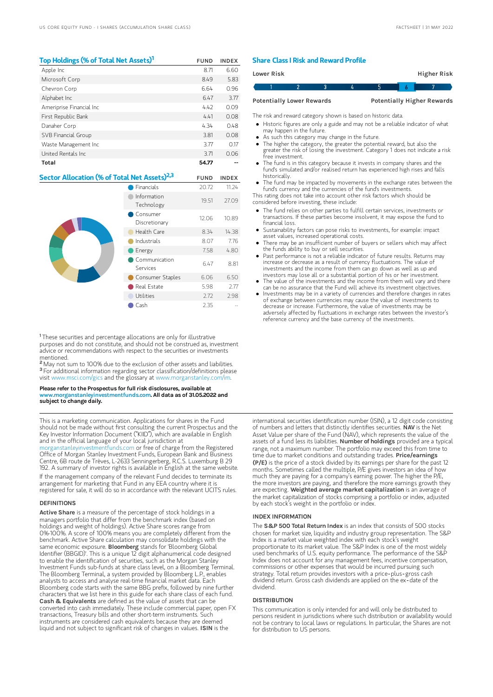| Top Holdings (% of Total Net Assets) <sup>1</sup>        | <b>FUND</b>          | <b>INDEX</b> |
|----------------------------------------------------------|----------------------|--------------|
| Apple Inc                                                | 8.71                 | 6.60         |
| Microsoft Corp                                           | 8.49                 | 5.83         |
| Chevron Corp                                             | 6.64                 | 0.96         |
| Alphabet Inc                                             | 6.47                 | 3.77         |
| Ameriprise Financial Inc                                 | 4.42                 | 0.09         |
| First Republic Bank                                      | 4.41                 | 0.08         |
| Danaher Corp                                             | 4.34                 | 0.48         |
| SVB Financial Group                                      | 3.81                 | 0.08         |
| Waste Management Inc                                     | 3.77                 | 0.17         |
| United Rentals Inc                                       | 3.71                 | 0.06         |
| Total                                                    | 54.77                |              |
| Sector Allocation (% of Total Net Assets) <sup>2,3</sup> | <b>FUND</b>          | <b>INDEX</b> |
| ___                                                      | $\sim$ $\sim$ $\sim$ |              |

|  | Financials                | 20.72 | 11.24 |
|--|---------------------------|-------|-------|
|  | Information<br>Technology | 19.51 | 27.09 |
|  | Consumer<br>Discretionary | 12.06 | 10.89 |
|  | Health Care               | 8.34  | 14.38 |
|  | Industrials               | 8.07  | 7.76  |
|  | Energy                    | 7.58  | 4.80  |
|  | Communication<br>Services | 6.47  | 8.81  |
|  | Consumer Staples          | 6.06  | 6.50  |
|  | Real Estate               | 5.98  | 2.77  |
|  | Utilities                 | 2.72  | 2.98  |
|  | Cash                      | 2.35  |       |

<sup>1</sup>These securities and percentage allocations are only for illustrative purposes and do not constitute, and should not be construed as, investment advice or recommendations with respect to the securities or investments mentioned.

<sup>2</sup> May not sum to 100% due to the exclusion of other assets and liabilities. <sup>3</sup> For additional information regarding sector classification/definitions please visit www.msci.com/gics and the glossary at www.morganstanley.com

#### Please refer to the Prospectus for full risk disclosures, available at www.morganstanleyinvestmentfunds.com. All data as of 31.05.2022 and subject to change daily.

This is a marketing communication. Applications for shares in the Fund should not be made without first consulting the current Prospectus and the Key Investor Information Document ("KIID"), which are available in English and in the official language of your local jurisdiction at

[morganstanleyinvestmentfunds.com](https://www.morganstanley.com/im/msinvf/index.html) or free of charge from the Registered Office of Morgan Stanley Investment Funds, European Bank and Business Centre, 6B route de Trèves, L-2633 Senningerberg, R.C.S. Luxemburg B 29 192. A summary of investor rights is available in English at the same website.

If the management company of the relevant Fund decides to terminate its arrangement for marketing that Fund in any EEA country where it is registered for sale, it will do so in accordance with the relevant UCITS rules.

#### **DEFINITIONS**

Active Share is a measure of the percentage of stock holdings in a managers portfolio that differ from the benchmark index (based on holdings and weight of holdings). Active Share scores range from 0%-100%. A score of 100% means you are completely different from the benchmark. Active Share calculation may consolidate holdings with the same economic exposure. Bloomberg stands for 'Bloomberg Global Identifier (BBGID)'. This is a unique 12 digit alphanumerical code designed to enable the identification of securities, such as the Morgan Stanley Investment Funds sub-funds at share class level, on a Bloomberg Terminal. The Bloomberg Terminal, a system provided by Bloomberg L.P., enables analysts to access and analyse real-time financial market data. Each Bloomberg code starts with the same BBG prefix, followed by nine further characters that we list here in this guide for each share class of each fund. Cash & Equivalents are defined as the value of assets that can be converted into cash immediately. These include commercial paper, open FX transactions, Treasury bills and other short-term instruments. Such instruments are considered cash equivalents because they are deemed liquid and not subject to significant risk of changes in values. ISIN is the

### Share Class I Risk and Reward Profile

| Lower Risk                       |  |  |  |  | Higher Risk                       |  |
|----------------------------------|--|--|--|--|-----------------------------------|--|
|                                  |  |  |  |  |                                   |  |
| <b>Potentially Lower Rewards</b> |  |  |  |  | <b>Potentially Higher Rewards</b> |  |

The risk and reward category shown is based on historic data.

- Historic figures are only a guide and may not be a reliable indicator of what
- may happen in the future. As such this category may change in the future.
- The higher the category, the greater the potential reward, but also the
- greater the risk of losing the investment. Category 1 does not indicate a risk free investment.
- The fund is in this category because it invests in company shares and the fund's simulated and/or realised return has experienced high rises and falls historically.
- The fund may be impacted by movements in the exchange rates between the fund's currency and the currencies of the fund's investments.

This rating does not take into account other risk factors which should be considered before investing, these include:

- The fund relies on other parties to fulfill certain services, investments or transactions. If these parties become insolvent, it may expose the fund to financial loss.
- Sustainability factors can pose risks to investments, for example: impact asset values, increased operational costs.
- There may be an insufficient number of buyers or sellers which may affect the funds ability to buy or sell securities.
- Past performance is not a reliable indicator of future results. Returns may increase or decrease as a result of currency fluctuations. The value of investments and the income from them can go down as well as up and investors may lose all or a substantial portion of his or her investment.
- The value of the investments and the income from them will vary and there can be no assurance that the Fund will achieve its investment objectives.
- Investments may be in a variety of currencies and therefore changes in rates of exchange between currencies may cause the value of investments to decrease or increase. Furthermore, the value of investments may be adversely affected by fluctuations in exchange rates between the investor's reference currency and the base currency of the investments.

international securities identification number (ISIN), a 12 digit code consisting of numbers and letters that distinctly identifies securities. NAV is the Net Asset Value per share of the Fund (NAV), which represents the value of the assets of a fund less its liabilities. Number of holdings provided are a typical range, not a maximum number. The portfolio may exceed this from time to time due to market conditions and outstanding trades. Price/earnings (P/E) is the price of a stock divided by its earnings per share for the past 12 months. Sometimes called the multiple, P/E gives investors an idea of how much they are paying for a company's earning power. The higher the P/E, the more investors are paying, and therefore the more earnings growth they are expecting. Weighted average market capitalization is an average of the market capitalization of stocks comprising a portfolio or index, adjusted by each stock's weight in the portfolio or index.

#### INDEX INFORMATION

The S&P 500 Total Return Index is an index that consists of 500 stocks chosen for market size, liquidity and industry group representation. The S&P Index is a market value weighted index with each stock's weight proportionate to its market value. The S&P Index is one of the most widely used benchmarks of U.S. equity performance. The performance of the S&P Index does not account for any management fees, incentive compensation, commissions or other expenses that would be incurred pursuing such strategy. Total return provides investors with a price-plus-gross cash dividend return. Gross cash dividends are applied on the ex‐date of the dividend.

#### **DISTRIBUTION**

This communication is only intended for and will only be distributed to persons resident in jurisdictions where such distribution or availability would not be contrary to local laws or regulations. In particular, the Shares are not for distribution to US persons.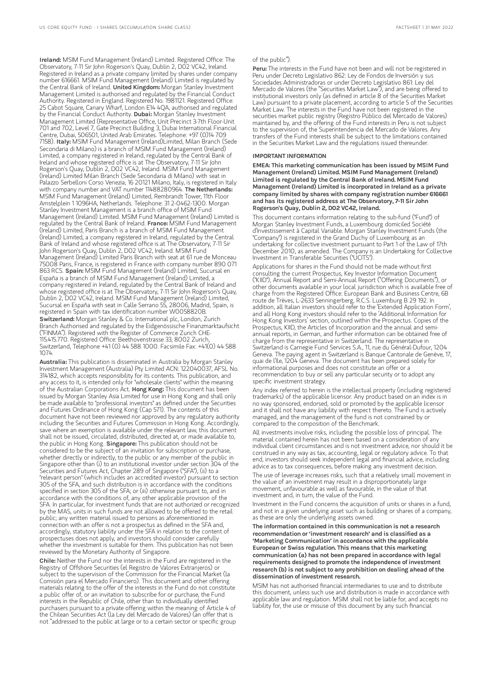Ireland: MSIM Fund Management (Ireland) Limited. Registered Office: The Observatory, 7-11 Sir John Rogerson's Quay, Dublin 2, D02 VC42, Ireland. Registered in Ireland as a private company limited by shares under company number 616661. MSIM Fund Management (Ireland) Limited is regulated by the Central Bank of Ireland. United Kingdom: Morgan Stanley Investment Management Limited is authorised and regulated by the Financial Conduct Authority. Registered in England. Registered No. 1981121. Registered Office: 25 Cabot Square, Canary Wharf, London E14 4QA, authorised and regulated<br>by the Financial Conduct Authority. **Dubai:** Morgan Stanley Investment Management Limited (Representative Office, Unit Precinct 3-7th Floor-Unit 701 and 702, Level 7, Gate Precinct Building 3, Dubai International Financial Centre, Dubai, 506501, United Arab Emirates. Telephone: +97 (0)14 709 7158). Italy: MSIM Fund Management (Ireland)Limited, Milan Branch (Sede Secondaria di Milano) is a branch of MSIM Fund Management (Ireland) Limited, a company registered in Ireland, regulated by the Central Bank of Ireland and whose registered office is at The Observatory, 7-11 Sir John Rogerson's Quay, Dublin 2, D02 VC42, Ireland. MSIM Fund Management (Ireland) Limited Milan Branch (Sede Secondaria di Milano) with seat in Palazzo Serbelloni Corso Venezia, 16 20121 Milano, Italy, is registered in Italy with company number and VAT number 11488280964. The Netherlands: MSIM Fund Management (Ireland) Limited, Rembrandt Tower, 11th Floor Amstelplein 1 1096HA, Netherlands. Telephone: 31 2-0462-1300. Morgan Stanley Investment Management is a branch office of MSIM Fund Management (Ireland) Limited. MSIM Fund Management (Ireland) Limited is<br>regulated by the Central Bank of Ireland. **France:** MSIM Fund Management (Ireland) Limited, Paris Branch is a branch of MSIM Fund Management (Ireland) Limited, a company registered in Ireland, regulated by the Central Bank of Ireland and whose registered office is at The Observatory, 7-11 Sir John Rogerson's Quay, Dublin 2, D02 VC42, Ireland. MSIM Fund Management (Ireland) Limited Paris Branch with seat at 61 rue de Monceau 75008 Paris, France, is registered in France with company number 890 071 863 RCS. Spain: MSIM Fund Management (Ireland) Limited, Sucursal en España is a branch of MSIM Fund Management (Ireland) Limited, a company registered in Ireland, regulated by the Central Bank of Ireland and whose registered office is at The Observatory, 7-11 Sir John Rogerson's Quay, Dublin 2, D02 VC42, Ireland. MSIM Fund Management (Ireland) Limited, Sucursal en España with seat in Calle Serrano 55, 28006, Madrid, Spain, is registered in Spain with tax identification number W0058820B. Switzerland: Morgan Stanley & Co. International plc, London, Zurich Branch Authorised and regulated by the Eidgenössische Finanzmarktaufsicht ("FINMA"). Registered with the Register of Commerce Zurich CHE-115.415.770. Registered Office: Beethovenstrasse 33, 8002 Zurich, Switzerland, Telephone +41 (0) 44 588 1000. Facsimile Fax: +41(0) 44 588 1074.

Australia: This publication is disseminated in Australia by Morgan Stanley Investment Management (Australia) Pty Limited ACN: 122040037, AFSL No. 314182, which accepts responsibility for its contents. This publication, and any access to it, is intended only for "wholesale clients" within the meaning of the Australian Corporations Act. Hong Kong: This document has been issued by Morgan Stanley Asia Limited for use in Hong Kong and shall only be made available to "professional investors" as defined under the Securities and Futures Ordinance of Hong Kong (Cap 571). The contents of this document have not been reviewed nor approved by any regulatory authority including the Securities and Futures Commission in Hong Kong. Accordingly, save where an exemption is available under the relevant law, this document shall not be issued, circulated, distributed, directed at, or made available to, the public in Hong Kong. Singapore: This publication should not be considered to be the subject of an invitation for subscription or purchase, whether directly or indirectly, to the public or any member of the public in Singapore other than (i) to an institutional investor under section 304 of the Securities and Futures Act, Chapter 289 of Singapore ("SFA"), (ii) to a "relevant person" (which includes an accredited investor) pursuant to section 305 of the SFA, and such distribution is in accordance with the conditions specified in section 305 of the SFA; or (iii) otherwise pursuant to, and in accordance with the conditions of, any other applicable provision of the SFA. In particular, for investment funds that are not authorized or recognized by the MAS, units in such funds are not allowed to be offered to the retail public; any written material issued to persons as aforementioned in connection with an offer is not a prospectus as defined in the SFA and, accordingly, statutory liability under the SFA in relation to the content of prospectuses does not apply, and investors should consider carefully whether the investment is suitable for them. This publication has not been reviewed by the Monetary Authority of Singapore.

Chile: Neither the Fund nor the interests in the Fund are registered in the Registry of Offshore Securities (el Registro de Valores Extranjeros) or subject to the supervision of the Commission for the Financial Market (la Comisión para el Mercado Financiero). This document and other offering materials relating to the offer of the interests in the Fund do not constitute a public offer of, or an invitation to subscribe for or purchase, the Fund interests in the Republic of Chile, other than to individually identified purchasers pursuant to a private offering within the meaning of Article 4 of the Chilean Securities Act (la Ley del Mercado de Valores) (an offer that is not "addressed to the public at large or to a certain sector or specific group

#### of the public").

Peru: The interests in the Fund have not been and will not be registered in Peru under Decreto Legislativo 862: Ley de Fondos de Inversión y sus Sociedades Administradoras or under Decreto Legislativo 861: Ley del Mercado de Valores (the "Securities Market Law"), and are being offered to institutional investors only (as defined in article 8 of the Securities Market Law) pursuant to a private placement, according to article 5 of the Securities Market Law. The interests in the Fund have not been registered in the securities market public registry (Registro Público del Mercado de Valores) maintained by, and the offering of the Fund interests in Peru is not subject to the supervision of, the Superintendencia del Mercado de Valores. Any transfers of the Fund interests shall be subject to the limitations contained in the Securities Market Law and the regulations issued thereunder.

#### IMPORTANT INFORMATION

EMEA: This marketing communication has been issued by MSIM Fund Management (Ireland) Limited. MSIM Fund Management (Ireland) Limited is regulated by the Central Bank of Ireland. MSIM Fund Management (Ireland) Limited is incorporated in Ireland as a private company limited by shares with company registration number 616661 and has its registered address at The Observatory, 7-11 Sir John Rogerson's Quay, Dublin 2, D02 VC42, Ireland.

This document contains information relating to the sub-fund ("Fund") of Morgan Stanley Investment Funds, a Luxembourg domiciled Société d'Investissement à Capital Variable. Morgan Stanley Investment Funds (the "Company") is registered in the Grand Duchy of Luxembourg as an undertaking for collective investment pursuant to Part 1 of the Law of 17th December 2010, as amended. The Company is an Undertaking for Collective Investment in Transferable Securities ("UCITS").

Applications for shares in the Fund should not be made without first consulting the current Prospectus, Key Investor Information Document ("KIID"), Annual Report and Semi-Annual Report ("Offering Documents"), or other documents available in your local jurisdiction which is available free of charge from the Registered Office: European Bank and Business Centre, 6B route de Trèves, L-2633 Senningerberg, R.C.S. Luxemburg B 29 192. In addition, all Italian investors should refer to the 'Extended Application Form', and all Hong Kong investors should refer to the 'Additional Information for Hong Kong Investors' section, outlined within the Prospectus. Copies of the Prospectus, KIID, the Articles of Incorporation and the annual and semiannual reports, in German, and further information can be obtained free of charge from the representative in Switzerland. The representative in Switzerland is Carnegie Fund Services S.A., 11, rue du Général-Dufour, 1204 Geneva. The paying agent in Switzerland is Banque Cantonale de Genève, 17, quai de l'Ile, 1204 Geneva. The document has been prepared solely for informational purposes and does not constitute an offer or a recommendation to buy or sell any particular security or to adopt any specific investment strategy.

Any index referred to herein is the intellectual property (including registered trademarks) of the applicable licensor. Any product based on an index is in no way sponsored, endorsed, sold or promoted by the applicable licenso and it shall not have any liability with respect thereto. The Fund is actively managed, and the management of the fund is not constrained by or compared to the composition of the Benchmark.

All investments involve risks, including the possible loss of principal. The material contained herein has not been based on a consideration of any individual client circumstances and is not investment advice, nor should it be construed in any way as tax, accounting, legal or regulatory advice. To that end, investors should seek independent legal and financial advice, including advice as to tax consequences, before making any investment decision.

The use of leverage increases risks, such that a relatively small movement in the value of an investment may result in a disproportionately large movement, unfavourable as well as favourable, in the value of that investment and, in turn, the value of the Fund.

Investment in the Fund concerns the acquisition of units or shares in a fund, and not in a given underlying asset such as building or shares of a company, as these are only the underlying assets owned.

The information contained in this communication is not a research recommendation or 'investment research' and is classified as a 'Marketing Communication' in accordance with the applicable European or Swiss regulation. This means that this marketing communication (a) has not been prepared in accordance with legal requirements designed to promote the independence of investment research (b) is not subject to any prohibition on dealing ahead ofthe dissemination of investment research.

MSIM has not authorised financial intermediaries to use and to distribute this document, unless such use and distribution is made in accordance with applicable law and regulation. MSIM shall not be liable for, and accepts no liability for, the use or misuse of this document by any such financial